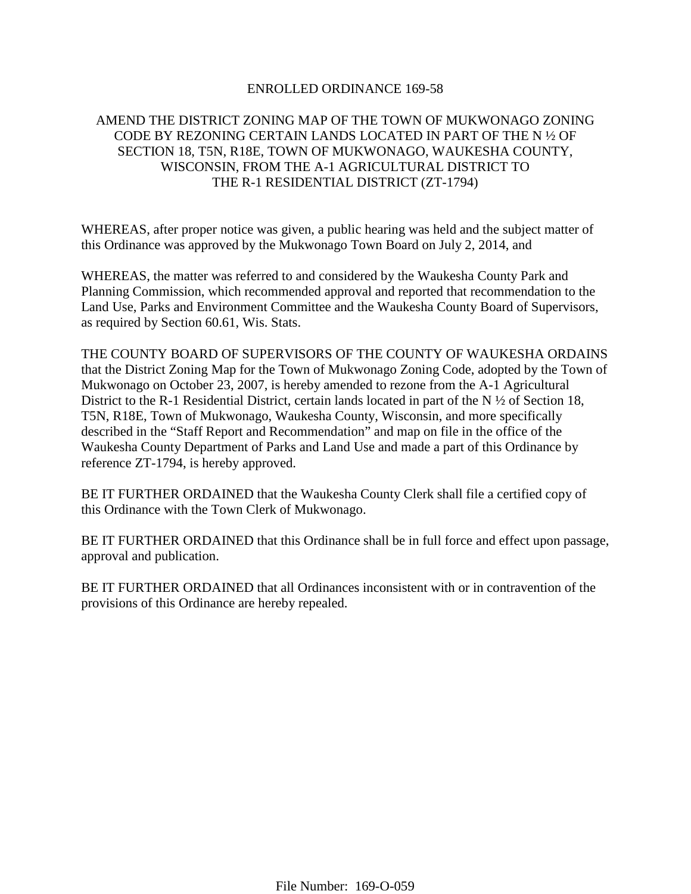## ENROLLED ORDINANCE 169-58

# AMEND THE DISTRICT ZONING MAP OF THE TOWN OF MUKWONAGO ZONING CODE BY REZONING CERTAIN LANDS LOCATED IN PART OF THE N ½ OF SECTION 18, T5N, R18E, TOWN OF MUKWONAGO, WAUKESHA COUNTY, WISCONSIN, FROM THE A-1 AGRICULTURAL DISTRICT TO THE R-1 RESIDENTIAL DISTRICT (ZT-1794)

WHEREAS, after proper notice was given, a public hearing was held and the subject matter of this Ordinance was approved by the Mukwonago Town Board on July 2, 2014, and

WHEREAS, the matter was referred to and considered by the Waukesha County Park and Planning Commission, which recommended approval and reported that recommendation to the Land Use, Parks and Environment Committee and the Waukesha County Board of Supervisors, as required by Section 60.61, Wis. Stats.

THE COUNTY BOARD OF SUPERVISORS OF THE COUNTY OF WAUKESHA ORDAINS that the District Zoning Map for the Town of Mukwonago Zoning Code, adopted by the Town of Mukwonago on October 23, 2007, is hereby amended to rezone from the A-1 Agricultural District to the R-1 Residential District, certain lands located in part of the N  $\frac{1}{2}$  of Section 18, T5N, R18E, Town of Mukwonago, Waukesha County, Wisconsin, and more specifically described in the "Staff Report and Recommendation" and map on file in the office of the Waukesha County Department of Parks and Land Use and made a part of this Ordinance by reference ZT-1794, is hereby approved.

BE IT FURTHER ORDAINED that the Waukesha County Clerk shall file a certified copy of this Ordinance with the Town Clerk of Mukwonago.

BE IT FURTHER ORDAINED that this Ordinance shall be in full force and effect upon passage, approval and publication.

BE IT FURTHER ORDAINED that all Ordinances inconsistent with or in contravention of the provisions of this Ordinance are hereby repealed.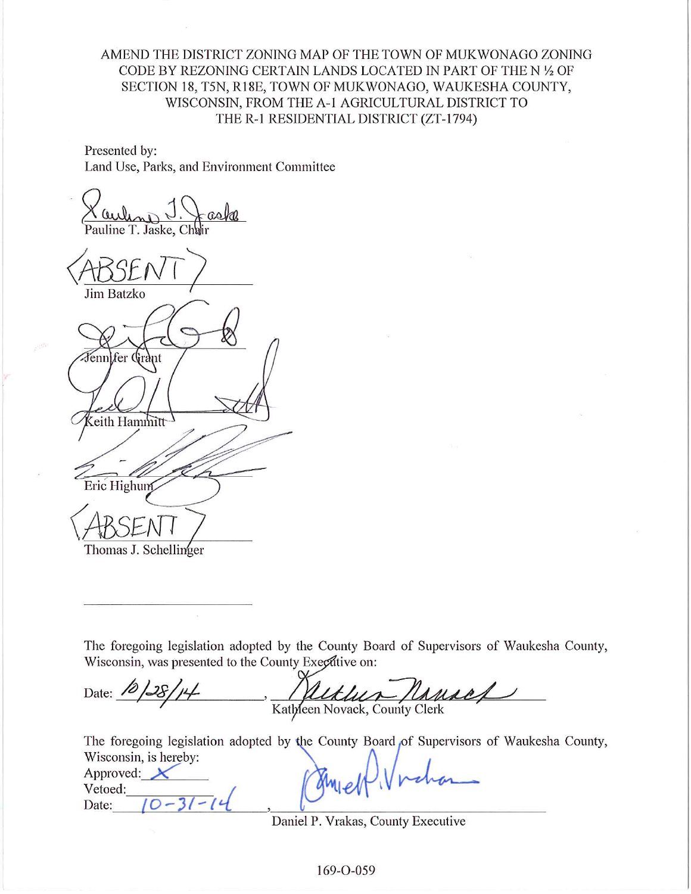AMEND THE DISTRICT ZONING MAP OF THE TOWN OF MUKWONAGO ZONING CODE BY REZONING CERTAIN LANDS LOCATED IN PART OF THE N 1/2 OF SECTION 18, T5N, R18E, TOWN OF MUKWONAGO, WAUKESHA COUNTY, WISCONSIN, FROM THE A-1 AGRICULTURAL DISTRICT TO THE R-1 RESIDENTIAL DISTRICT (ZT-1794)

Presented by: Land Use, Parks, and Environment Committee

Pauline T. Jaske.

Jim Batzko Fenn]fer Grànt eith Hammitt Eric Highum Thomas J. Schellinger

Vetoed:

Date:

 $0 - 31 - 14$ 

The foregoing legislation adopted by the County Board of Supervisors of Waukesha County, Wisconsin, was presented to the County Executive on:

Uther Ransel Date:  $10/28/14$ Kathleen Novack, County Clerk

The foregoing legislation adopted by the County Board of Supervisors of Waukesha County, Wisconsin, is hereby: Approved:  $\chi$ 

Daniel P. Vrakas, County Executive

169-O-059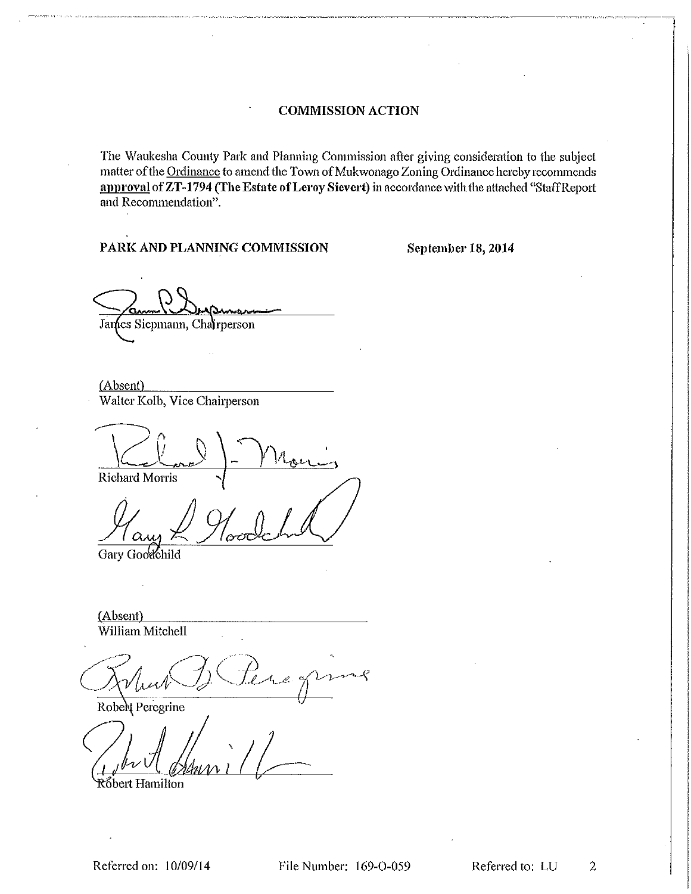The Waukesha County Park and Planning Commission after giving consideration to the subject matter of the Ordinance to amend the Town of Mukwonago Zoning Ordinance hereby recommends approval of ZT-1794 (The Estate of Leroy Sievert) in accordance with the attached "Staff Report and Recommendation".

## PARK AND PLANNING COMMISSION

September 18, 2014

James Siepmann, Chairperson

 $(Absent)$ Walter Kolb, Vice Chairperson

Richard Morris

Gary Goodchild

(Absent) William Mitchell

LÇ

Robel Peregrine

Róbert Hamilton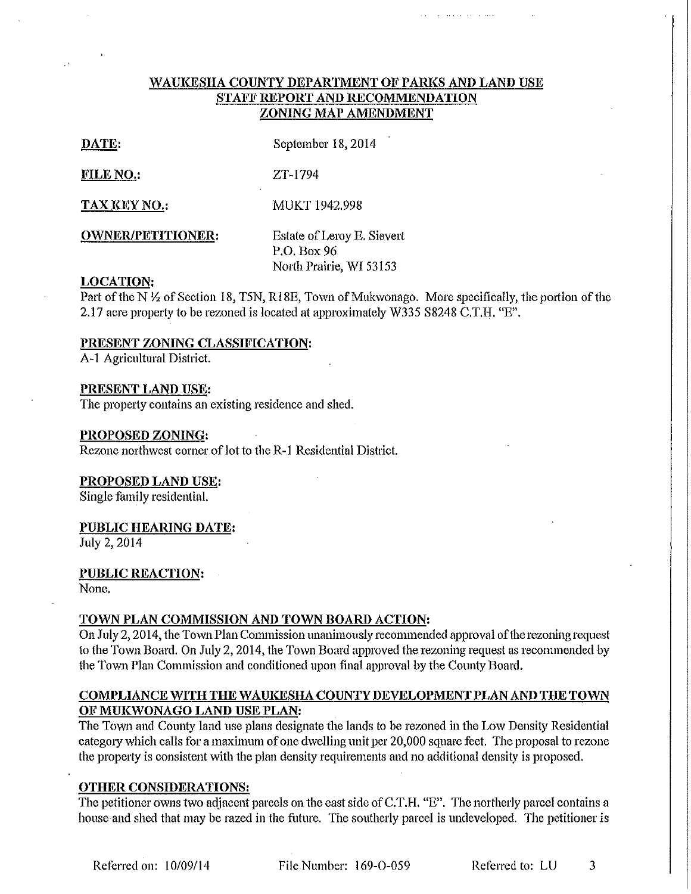## WAUKESHA COUNTY DEPARTMENT OF PARKS AND LAND USE STAFF REPORT AND RECOMMENDATION ZONING MAP AMENDMENT

| ╾  | r<br>I. |
|----|---------|
| e. | ٠       |
|    |         |

September 18, 2014

FILE NO.: ZT-1794

MUKT 1942.998 **TAX KEY NO.:** 

**OWNER/PETITIONER:** 

Estate of Leroy E. Sievert P.O. Box 96 North Prairie, WI 53153

## **LOCATION:**

Part of the N 1/2 of Section 18, T5N, R18E, Town of Mukwonago. More specifically, the portion of the 2.17 acre property to be rezoned is located at approximately W335 S8248 C.T.H. "E".

## PRESENT ZONING CLASSIFICATION:

A-1 Agricultural District.

## PRESENT LAND USE:

The property contains an existing residence and shed.

## PROPOSED ZONING:

Rezone northwest corner of lot to the R-1 Residential District.

## PROPOSED LAND USE:

Single family residential.

## PUBLIC HEARING DATE:

July 2, 2014

## **PUBLIC REACTION:**

None.

# TOWN PLAN COMMISSION AND TOWN BOARD ACTION:

On July 2, 2014, the Town Plan Commission unanimously recommended approval of the rezoning request to the Town Board. On July 2, 2014, the Town Board approved the rezoning request as recommended by the Town Plan Commission and conditioned upon final approval by the County Board.

# COMPLIANCE WITH THE WAUKESHA COUNTY DEVELOPMENT PLAN AND THE TOWN OF MUKWONAGO LAND USE PLAN:

The Town and County land use plans designate the lands to be rezoned in the Low Density Residential category which calls for a maximum of one dwelling unit per 20,000 square feet. The proposal to rezone the property is consistent with the plan density requirements and no additional density is proposed.

# **OTHER CONSIDERATIONS:**

The petitioner owns two adjacent parcels on the east side of C.T.H. "E". The northerly parcel contains a house and shed that may be razed in the future. The southerly parcel is undeveloped. The petitioner is

File Number: 169-O-059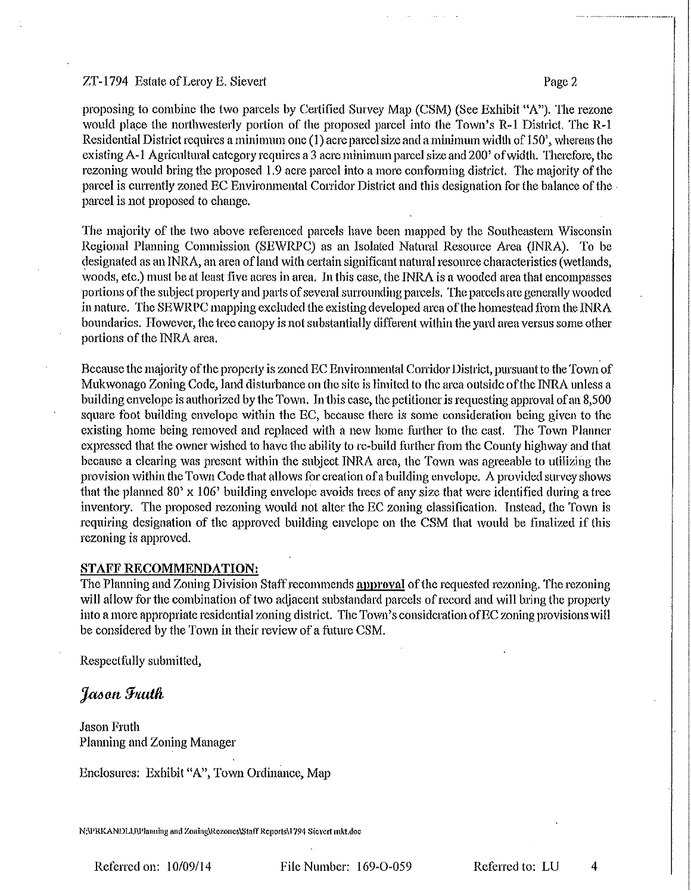## ZT-1794 Estate of Leroy E. Sievert

proposing to combine the two parcels by Certified Survey Map (CSM) (See Exhibit "A"). The rezone would place the northwesterly portion of the proposed parcel into the Town's R-1 District. The R-1 Residential District requires a minimum one (1) acre parcel size and a minimum width of 150', whereas the existing A-1 Agricultural category requires a 3 acre minimum parcel size and 200' of width. Therefore, the rezoning would bring the proposed 1.9 acre parcel into a more conforming district. The majority of the parcel is currently zoned EC Environmental Corridor District and this designation for the balance of the parcel is not proposed to change.

The majority of the two above referenced parcels have been mapped by the Southeastern Wisconsin Regional Planning Commission (SEWRPC) as an Isolated Natural Resource Area (INRA). To be designated as an INRA, an area of land with certain significant natural resource characteristics (wetlands, woods, etc.) must be at least five acres in area. In this case, the INRA is a wooded area that encompasses portions of the subject property and parts of several surrounding parcels. The parcels are generally wooded in nature. The SEWRPC mapping excluded the existing developed area of the homestead from the INRA boundaries. However, the tree canopy is not substantially different within the yard area versus some other portions of the INRA area.

Because the majority of the property is zoned EC Environmental Corridor District, pursuant to the Town of Mukwonago Zoning Code, land disturbance on the site is limited to the area outside of the INRA unless a building envelope is authorized by the Town. In this case, the petitioner is requesting approval of an 8,500 square foot building envelope within the EC, because there is some consideration being given to the existing home being removed and replaced with a new home further to the east. The Town Planner expressed that the owner wished to have the ability to re-build further from the County highway and that because a clearing was present within the subject INRA area, the Town was agreeable to utilizing the provision within the Town Code that allows for creation of a building envelope. A provided survey shows that the planned 80' x 106' building envelope avoids trees of any size that were identified during a tree inventory. The proposed rezoning would not alter the EC zoning classification. Instead, the Town is requiring designation of the approved building envelope on the CSM that would be finalized if this rezoning is approved.

### **STAFF RECOMMENDATION:**

The Planning and Zoning Division Staff recommends approval of the requested rezoning. The rezoning will allow for the combination of two adjacent substandard parcels of record and will bring the property into a more appropriate residential zoning district. The Town's consideration of EC zoning provisions will be considered by the Town in their review of a future CSM.

Respectfully submitted,

Jason Fruth

**Jason Fruth** Planning and Zoning Manager

Enclosures: Exhibit "A", Town Ordinance, Map

N:\PRKANDLU\Planning and Zoning\Rezones\Staff Reports\1794 Sievert mkt.doc

Referred on: 10/09/14

File Number: 169-O-059

Referred to: LU

4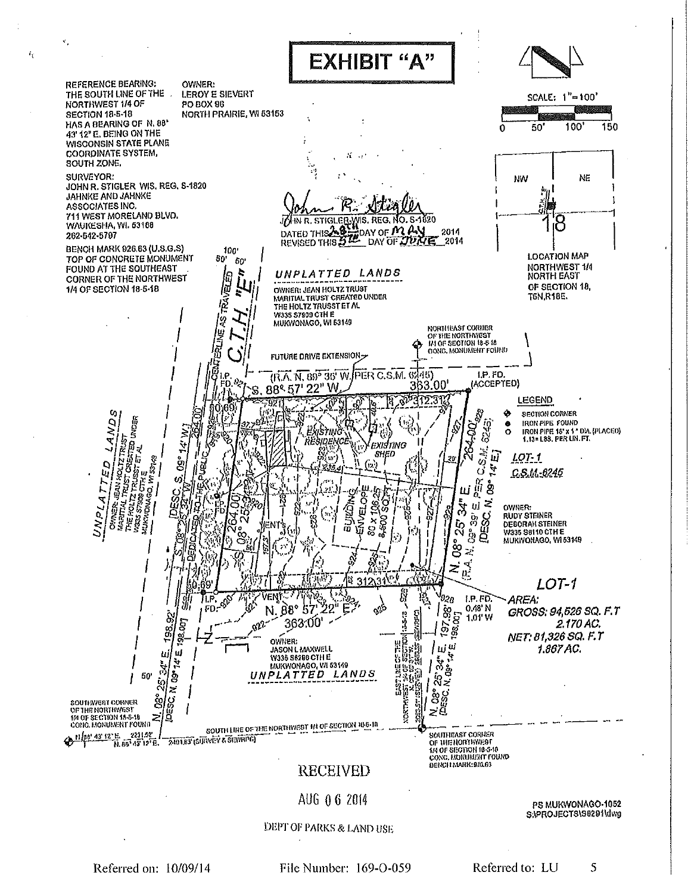

Referred on: 10/09/14

 $\hat{I}_Y$ 

File Number: 169-O-059

Referred to: LU 5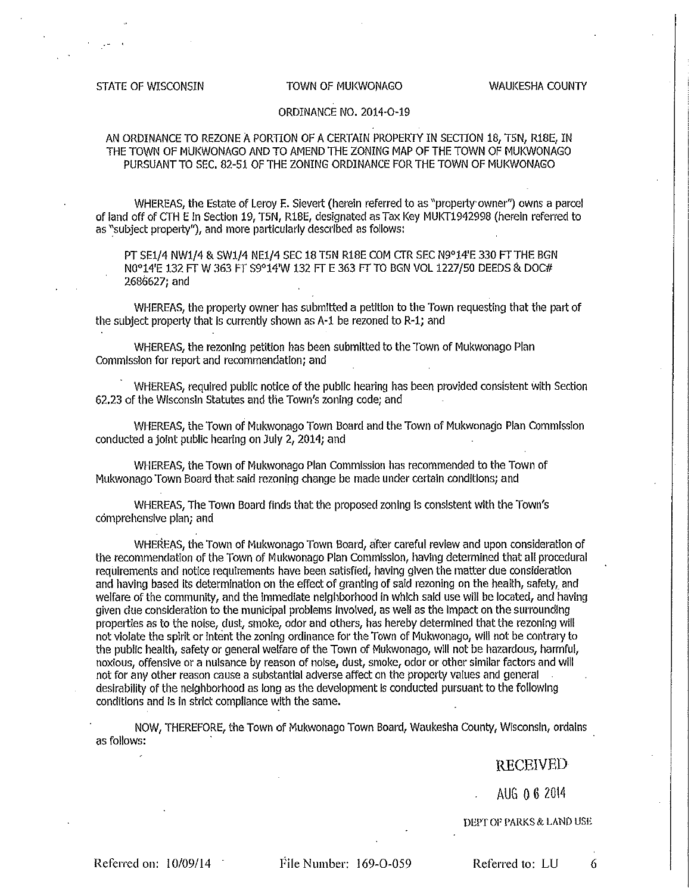### STATE OF WISCONSIN

#### TOWN OF MUKWONAGO

## ORDINANCE NO. 2014-O-19

## AN ORDINANCE TO REZONE A PORTION OF A CERTAIN PROPERTY IN SECTION 18, T5N, R18E, IN THE TOWN OF MUKWONAGO AND TO AMEND THE ZONING MAP OF THE TOWN OF MUKWONAGO PURSUANT TO SEC. 82-51 OF THE ZONING ORDINANCE FOR THE TOWN OF MUKWONAGO

WHEREAS, the Estate of Leroy E. Sievert (herein referred to as "property owner") owns a parcel of land off of CTH E in Section 19, T5N, R18E, designated as Tax Key MUKT1942998 (herein referred to as "subject property"), and more particularly described as follows:

PT SE1/4 NW1/4 & SW1/4 NE1/4 SEC 18 T5N R18E COM CTR SEC N9º14'E 330 FT THE BGN N0°14'E 132 FT W 363 FT S9°14'W 132 FT E 363 FT TO BGN VOL 1227/50 DEEDS & DOC# 2686627; and

WHEREAS, the property owner has submitted a petition to the Town requesting that the part of the subject property that is currently shown as A-1 be rezoned to R-1; and

WHEREAS, the rezoning petition has been submitted to the Town of Mukwonago Plan Commission for report and recommendation; and

WHEREAS, required public notice of the public hearing has been provided consistent with Section 62.23 of the Wisconsin Statutes and the Town's zoning code; and

WHEREAS, the Town of Mukwonago Town Board and the Town of Mukwonago Plan Commission conducted a joint public hearing on July 2, 2014; and

WHEREAS, the Town of Mukwonago Plan Commission has recommended to the Town of Mukwonago Town Board that said rezoning change be made under certain conditions; and

WHEREAS, The Town Board finds that the proposed zoning is consistent with the Town's comprehensive plan; and

WHEREAS, the Town of Mukwonago Town Board, after careful review and upon consideration of the recommendation of the Town of Mukwonago Plan Commission, having determined that all procedural requirements and notice requirements have been satisfied, having given the matter due consideration and having based its determination on the effect of granting of said rezoning on the health, safety, and welfare of the community, and the immediate neighborhood in which said use will be located, and having given due consideration to the municipal problems involved, as well as the impact on the surrounding properties as to the noise, dust, smoke, odor and others, has hereby determined that the rezoning will not violate the spirit or intent the zoning ordinance for the Town of Mukwonago, will not be contrary to the public health, safety or general welfare of the Town of Mukwonago, will not be hazardous, harmful, noxious, offensive or a nuisance by reason of noise, dust, smoke, odor or other similar factors and will not for any other reason cause a substantial adverse affect on the property values and general desirability of the neighborhood as long as the development is conducted pursuant to the following conditions and is in strict compliance with the same.

NOW, THEREFORE, the Town of Mukwonago Town Board, Waukesha County, Wisconsin, ordains as follows:

## **RECEIVED**

AUG 0 6 2014

DEPT OF PARKS & LAND USE

Referred on: 10/09/14

File Number: 169-O-059

Referred to: LU

6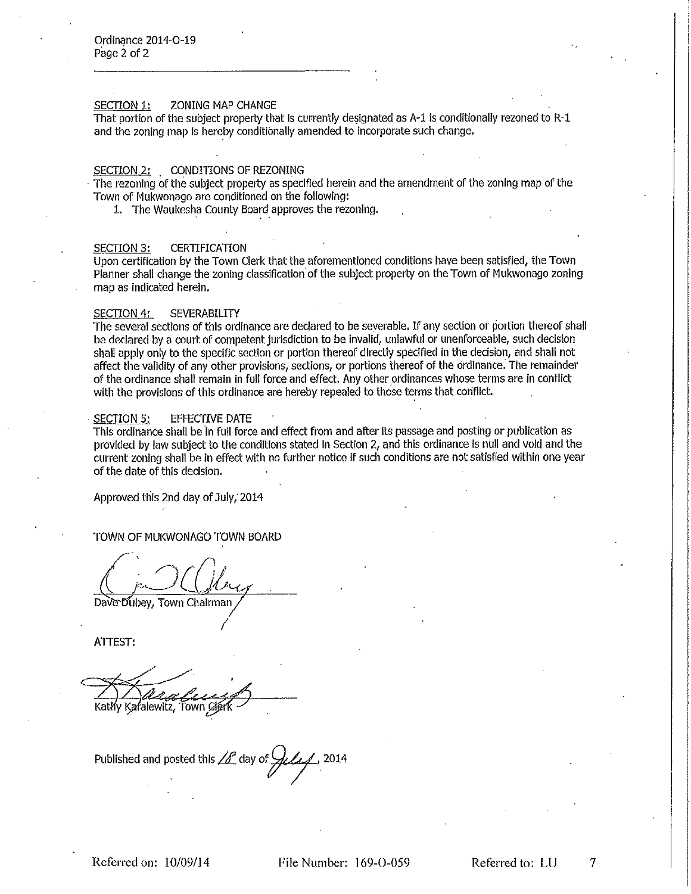#### SECTION 1: **ZONING MAP CHANGE**

That portion of the subject property that is currently designated as A-1 is conditionally rezoned to R-1 and the zoning map is hereby conditionally amended to incorporate such change.

#### SECTION 2: CONDITIONS OF REZONING

The rezoning of the subject property as specified herein and the amendment of the zoning map of the Town of Mukwonago are conditioned on the following:

1. The Waukesha County Board approves the rezoning.

#### **SECTION 3: CERTIFICATION**

Upon certification by the Town Clerk that the aforementioned conditions have been satisfied, the Town Planner shall change the zoning classification of the subject property on the Town of Mukwonago zoning map as Indicated herein.

#### **SECTION 4: SEVERABILITY**

The several sections of this ordinance are declared to be severable. If any section or portion thereof shall be declared by a court of competent jurisdiction to be invalid, unlawful or unenforceable, such decision shall apply only to the specific section or portion thereof directly specified in the decision, and shall not affect the validity of any other provisions, sections, or portions thereof of the ordinance. The remainder of the ordinance shall remain in full force and effect. Any other ordinances whose terms are in conflict with the provisions of this ordinance are hereby repealed to those terms that conflict.

#### **SECTION 5: EFFECTIVE DATE**

This ordinance shall be in full force and effect from and after its passage and posting or publication as provided by law subject to the conditions stated in Section 2, and this ordinance is null and vold and the current zoning shall be in effect with no further notice if such conditions are not satisfied within one year of the date of this decision.

Approved this 2nd day of July, 2014

TOWN OF MUKWONAGO TOWN BOARD

Dave Dubey, Town Chairman

ATTEST:

Katły Kafalewitz, Town Cjerk

Published and posted this  $\angle f^{\circ}$  day of  $\frac{1}{2}$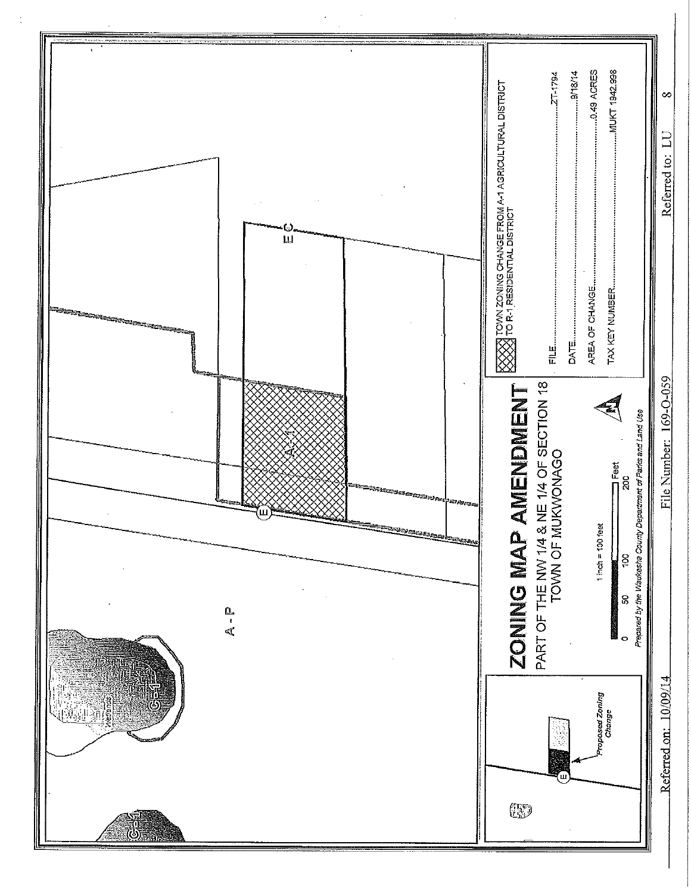